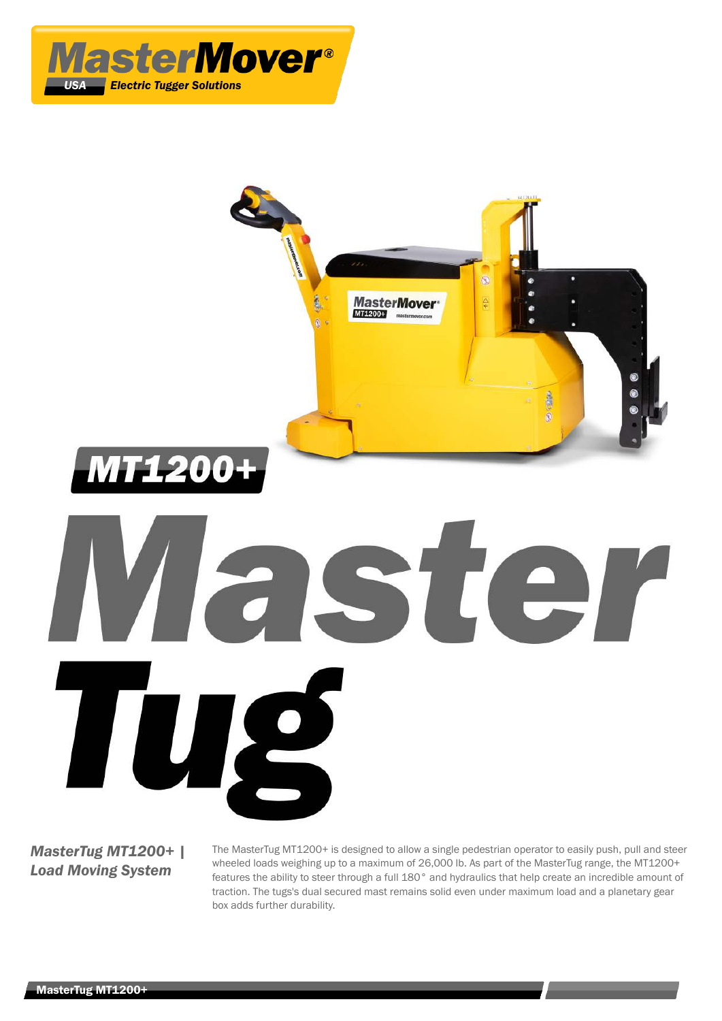



# *MasterTug MT1200+ | Load Moving System*

TU

The MasterTug MT1200+ is designed to allow a single pedestrian operator to easily push, pull and steer wheeled loads weighing up to a maximum of 26,000 lb. As part of the MasterTug range, the MT1200+ features the ability to steer through a full 180° and hydraulics that help create an incredible amount of traction. The tugs's dual secured mast remains solid even under maximum load and a planetary gear box adds further durability.

STE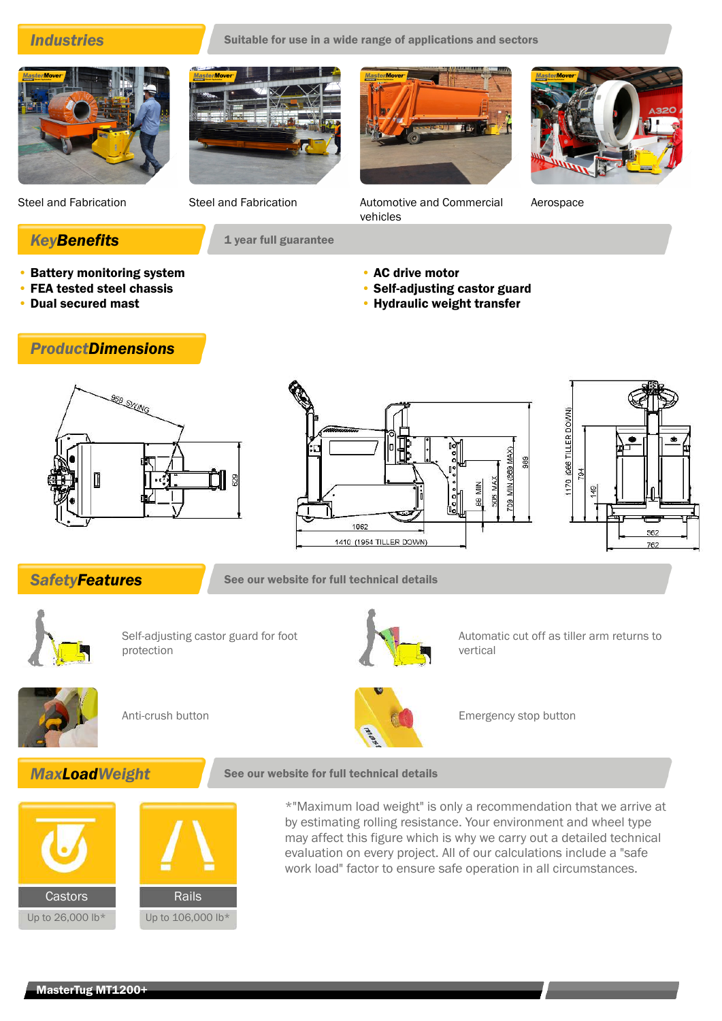**Industries** Suitable for use in a wide range of applications and sectors



• Battery monitoring system • FEA tested steel chassis • Dual secured mast

*ProductDimensions*



**KeyBenefits** 1 year full guarantee

Steel and Fabrication Steel and Fabrication Automotive and Commercial vehicles

Aerospace

- 
- AC drive motor
- Self-adjusting castor guard
- Hydraulic weight transfer

**SEE SWING** 





**SafetyFeatures** See our website for full technical details



Self-adjusting castor guard for foot protection









Anti-crush button **Emergency stop button** Emergency stop button





\*"Maximum load weight" is only a recommendation that we arrive at by estimating rolling resistance. Your environment and wheel type may affect this figure which is why we carry out a detailed technical evaluation on every project. All of our calculations include a "safe work load" factor to ensure safe operation in all circumstances.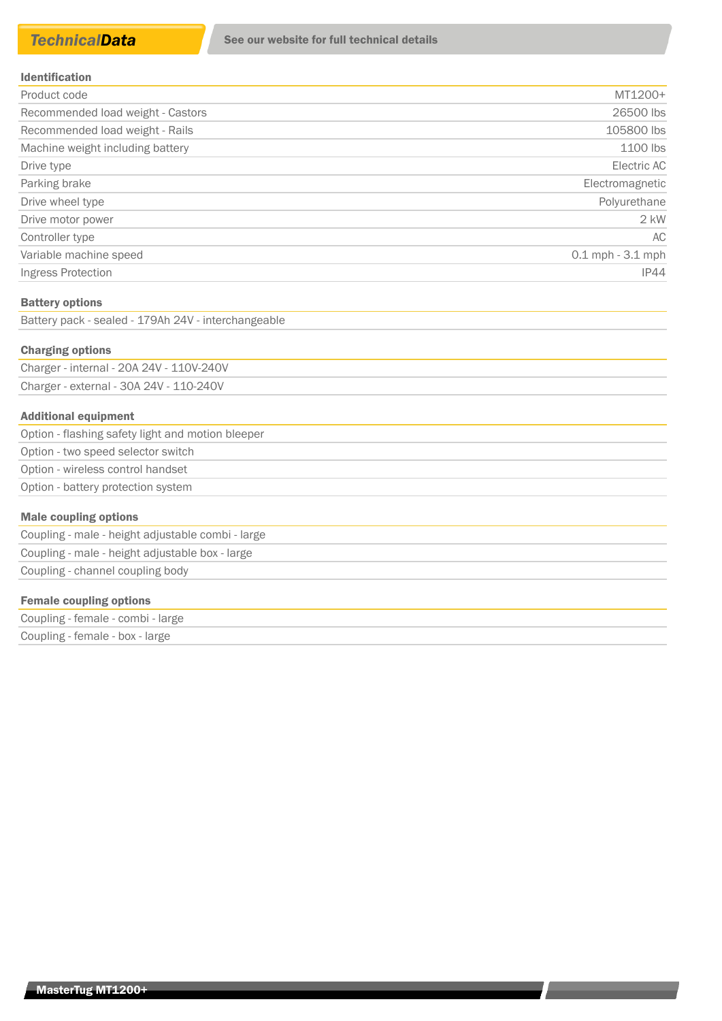| Product code                      | MT1200+              |
|-----------------------------------|----------------------|
| Recommended load weight - Castors | 26500 lbs            |
| Recommended load weight - Rails   | 105800 lbs           |
| Machine weight including battery  | 1100 lbs             |
| Drive type                        | Electric AC          |
| Parking brake                     | Electromagnetic      |
| Drive wheel type                  | Polyurethane         |
| Drive motor power                 | $2$ kW               |
| Controller type                   | AC                   |
| Variable machine speed            | $0.1$ mph $-3.1$ mph |
| Ingress Protection                | IP44                 |

### Battery options

Battery pack - sealed - 179Ah 24V - interchangeable

### Charging options

Charger - internal - 20A 24V - 110V-240V Charger - external - 30A 24V - 110-240V

### Additional equipment

| Option - flashing safety light and motion bleeper |
|---------------------------------------------------|
| Option - two speed selector switch                |
| Option - wireless control handset                 |
| Option - battery protection system                |
|                                                   |

### Male coupling options

| Coupling - male - height adjustable combi - large |  |
|---------------------------------------------------|--|
| Coupling - male - height adjustable box - large   |  |
| Coupling - channel coupling body                  |  |

### Female coupling options

| Coupling - female - combi - large |  |
|-----------------------------------|--|
| Coupling - female - box - large   |  |